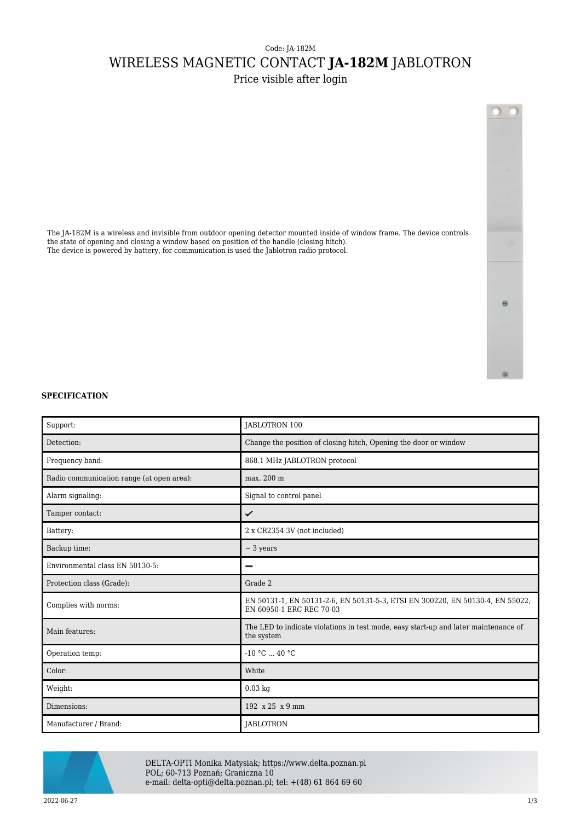## Code: JA-182M WIRELESS MAGNETIC CONTACT **JA-182M** JABLOTRON

Price visible after login

The JA-182M is a wireless and invisible from outdoor opening detector mounted inside of window frame. The device controls

the state of opening and closing a window based on position of the handle (closing hitch). The device is powered by battery, for communication is used the Jablotron radio protocol.

## **SPECIFICATION**

| Support:                                  | JABLOTRON 100                                                                                             |
|-------------------------------------------|-----------------------------------------------------------------------------------------------------------|
| Detection:                                | Change the position of closing hitch, Opening the door or window                                          |
| Frequency band:                           | 868.1 MHz JABLOTRON protocol                                                                              |
| Radio communication range (at open area): | max. 200 m                                                                                                |
| Alarm signaling:                          | Signal to control panel                                                                                   |
| Tamper contact:                           | ✓                                                                                                         |
| Battery:                                  | 2 x CR2354 3V (not included)                                                                              |
| Backup time:                              | $\sim$ 3 years                                                                                            |
| Environmental class EN 50130-5:           | -                                                                                                         |
| Protection class (Grade):                 | Grade 2                                                                                                   |
| Complies with norms:                      | EN 50131-1, EN 50131-2-6, EN 50131-5-3, ETSI EN 300220, EN 50130-4, EN 55022,<br>EN 60950-1 ERC REC 70-03 |
| Main features:                            | The LED to indicate violations in test mode, easy start-up and later maintenance of<br>the system         |
| Operation temp:                           | $-10 °C  40 °C$                                                                                           |
| Color:                                    | White                                                                                                     |
| Weight:                                   | $0.03$ kg                                                                                                 |
| Dimensions:                               | 192 x 25 x 9 mm                                                                                           |
| Manufacturer / Brand:                     | JABLOTRON                                                                                                 |



DELTA-OPTI Monika Matysiak; https://www.delta.poznan.pl POL; 60-713 Poznań; Graniczna 10 e-mail: delta-opti@delta.poznan.pl; tel: +(48) 61 864 69 60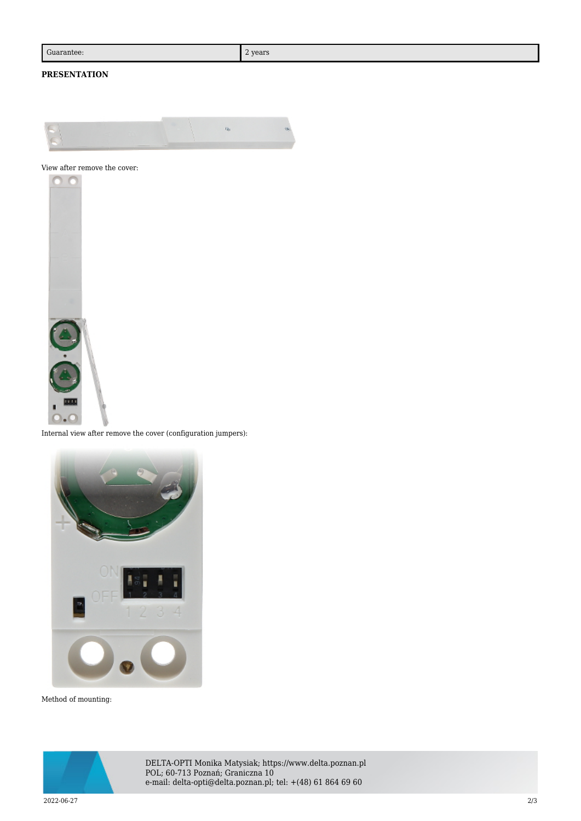## **PRESENTATION**



View after remove the cover:



Internal view after remove the cover (configuration jumpers):



Method of mounting:



DELTA-OPTI Monika Matysiak; https://www.delta.poznan.pl POL; 60-713 Poznań; Graniczna 10 e-mail: delta-opti@delta.poznan.pl; tel: +(48) 61 864 69 60

2022-06-27 2/3